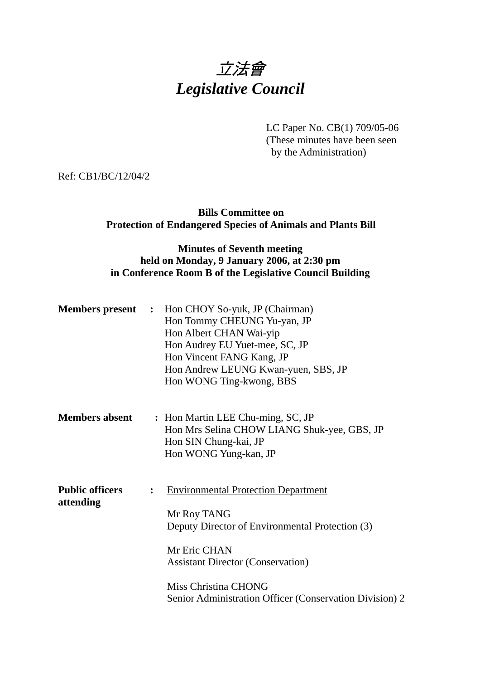# 立法會 *Legislative Council*

LC Paper No. CB(1) 709/05-06

(These minutes have been seen by the Administration)

Ref: CB1/BC/12/04/2

## **Bills Committee on Protection of Endangered Species of Animals and Plants Bill**

## **Minutes of Seventh meeting held on Monday, 9 January 2006, at 2:30 pm in Conference Room B of the Legislative Council Building**

|                                     | <b>Members present</b> : Hon CHOY So-yuk, JP (Chairman)<br>Hon Tommy CHEUNG Yu-yan, JP<br>Hon Albert CHAN Wai-yip<br>Hon Audrey EU Yuet-mee, SC, JP<br>Hon Vincent FANG Kang, JP<br>Hon Andrew LEUNG Kwan-yuen, SBS, JP<br>Hon WONG Ting-kwong, BBS                           |
|-------------------------------------|-------------------------------------------------------------------------------------------------------------------------------------------------------------------------------------------------------------------------------------------------------------------------------|
| <b>Members absent</b>               | : Hon Martin LEE Chu-ming, SC, JP<br>Hon Mrs Selina CHOW LIANG Shuk-yee, GBS, JP<br>Hon SIN Chung-kai, JP<br>Hon WONG Yung-kan, JP                                                                                                                                            |
| <b>Public officers</b><br>attending | <b>Environmental Protection Department</b><br>$\ddot{\cdot}$<br>Mr Roy TANG<br>Deputy Director of Environmental Protection (3)<br>Mr Eric CHAN<br><b>Assistant Director (Conservation)</b><br>Miss Christina CHONG<br>Senior Administration Officer (Conservation Division) 2 |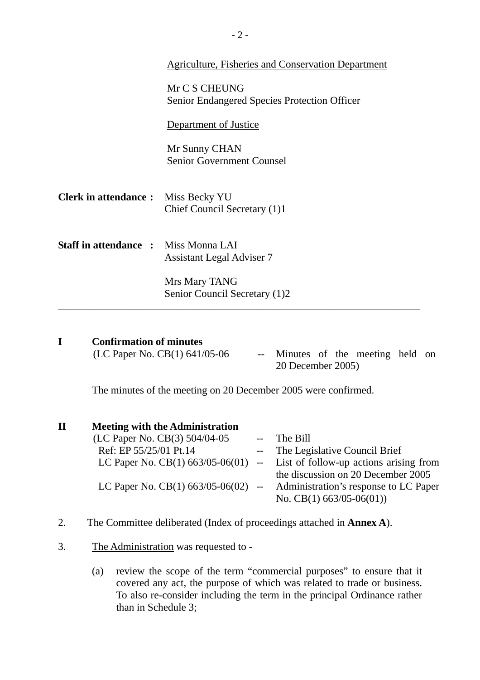|                                             | Agriculture, Fisheries and Conservation Department                   |
|---------------------------------------------|----------------------------------------------------------------------|
|                                             | Mr C S CHEUNG<br><b>Senior Endangered Species Protection Officer</b> |
|                                             | Department of Justice                                                |
|                                             | Mr Sunny CHAN<br><b>Senior Government Counsel</b>                    |
| <b>Clerk in attendance:</b>                 | Miss Becky YU<br>Chief Council Secretary (1)1                        |
| <b>Staff in attendance :</b> Miss Monna LAI | <b>Assistant Legal Adviser 7</b>                                     |
|                                             | Mrs Mary TANG<br>Senior Council Secretary (1)2                       |
|                                             |                                                                      |

| <b>Confirmation of minutes</b>  |                                   |  |  |  |
|---------------------------------|-----------------------------------|--|--|--|
| (LC Paper No. CB(1) $641/05-06$ | -- Minutes of the meeting held on |  |  |  |

20 December 2005)

The minutes of the meeting on 20 December 2005 were confirmed.

| $\mathbf H$ | <b>Meeting with the Administration</b> |                                                                              |
|-------------|----------------------------------------|------------------------------------------------------------------------------|
|             | (LC Paper No. CB(3) 504/04-05          | -- The Bill                                                                  |
|             | Ref: EP 55/25/01 Pt.14                 | -- The Legislative Council Brief                                             |
|             |                                        | LC Paper No. $CB(1)$ 663/05-06(01) -- List of follow-up actions arising from |
|             |                                        | the discussion on 20 December 2005                                           |
|             |                                        | LC Paper No. $CB(1)$ 663/05-06(02) -- Administration's response to LC Paper  |
|             |                                        | No. CB(1) $663/05-06(01)$                                                    |

- 2. The Committee deliberated (Index of proceedings attached in **Annex A**).
- 3. The Administration was requested to
	- (a) review the scope of the term "commercial purposes" to ensure that it covered any act, the purpose of which was related to trade or business. To also re-consider including the term in the principal Ordinance rather than in Schedule 3;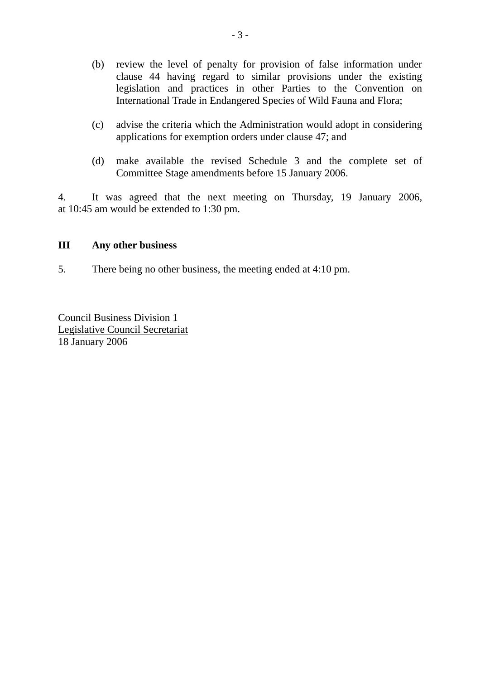- (b) review the level of penalty for provision of false information under clause 44 having regard to similar provisions under the existing legislation and practices in other Parties to the Convention on International Trade in Endangered Species of Wild Fauna and Flora;
- (c) advise the criteria which the Administration would adopt in considering applications for exemption orders under clause 47; and
- (d) make available the revised Schedule 3 and the complete set of Committee Stage amendments before 15 January 2006.

4. It was agreed that the next meeting on Thursday, 19 January 2006, at 10:45 am would be extended to 1:30 pm.

### **III Any other business**

5. There being no other business, the meeting ended at 4:10 pm.

Council Business Division 1 Legislative Council Secretariat 18 January 2006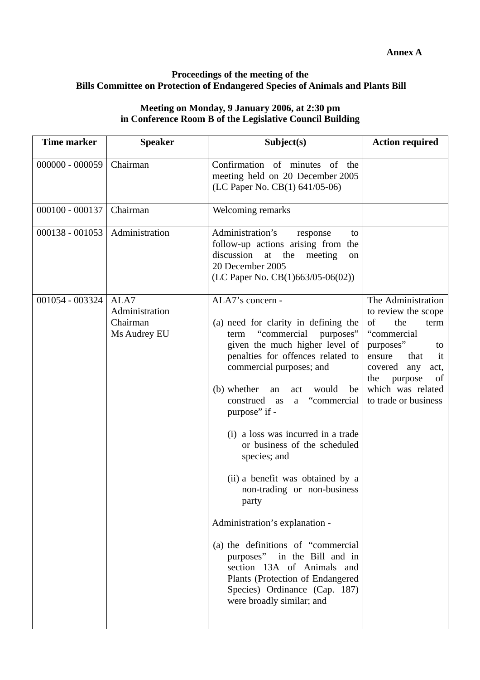#### **Proceedings of the meeting of the Bills Committee on Protection of Endangered Species of Animals and Plants Bill**

## **Meeting on Monday, 9 January 2006, at 2:30 pm in Conference Room B of the Legislative Council Building**

| <b>Time marker</b> | <b>Speaker</b>                                     | Subject(s)                                                                                                                                                                                                                                                                                                                                                                                                                                                                                                                                                                                                                                                                                                     | <b>Action required</b>                                                                                                                                                                                                  |
|--------------------|----------------------------------------------------|----------------------------------------------------------------------------------------------------------------------------------------------------------------------------------------------------------------------------------------------------------------------------------------------------------------------------------------------------------------------------------------------------------------------------------------------------------------------------------------------------------------------------------------------------------------------------------------------------------------------------------------------------------------------------------------------------------------|-------------------------------------------------------------------------------------------------------------------------------------------------------------------------------------------------------------------------|
| $000000 - 000059$  | Chairman                                           | Confirmation of minutes of<br>the<br>meeting held on 20 December 2005<br>(LC Paper No. CB(1) 641/05-06)                                                                                                                                                                                                                                                                                                                                                                                                                                                                                                                                                                                                        |                                                                                                                                                                                                                         |
| $000100 - 000137$  | Chairman                                           | Welcoming remarks                                                                                                                                                                                                                                                                                                                                                                                                                                                                                                                                                                                                                                                                                              |                                                                                                                                                                                                                         |
| $000138 - 001053$  | Administration                                     | Administration's<br>response<br>to<br>follow-up actions arising from the<br>discussion<br>meeting<br>at<br>the<br>on<br>20 December 2005<br>(LC Paper No. $CB(1)663/05-06(02))$                                                                                                                                                                                                                                                                                                                                                                                                                                                                                                                                |                                                                                                                                                                                                                         |
| 001054 - 003324    | ALA7<br>Administration<br>Chairman<br>Ms Audrey EU | ALA7's concern -<br>(a) need for clarity in defining the<br>"commercial<br>purposes"<br>term<br>given the much higher level of<br>penalties for offences related to<br>commercial purposes; and<br>(b) whether<br>would<br>be<br>an<br>act<br>"commercial"<br>construed<br>as<br>a<br>purpose" if -<br>(i) a loss was incurred in a trade<br>or business of the scheduled<br>species; and<br>(ii) a benefit was obtained by a<br>non-trading or non-business<br>party<br>Administration's explanation -<br>(a) the definitions of "commercial"<br>purposes" in the Bill and in<br>section 13A of Animals and<br>Plants (Protection of Endangered<br>Species) Ordinance (Cap. 187)<br>were broadly similar; and | The Administration<br>to review the scope<br>of<br>the<br>term<br>"commercial<br>purposes"<br>to<br>that<br>ensure<br>it<br>covered<br>any<br>act,<br>the<br>purpose<br>of<br>which was related<br>to trade or business |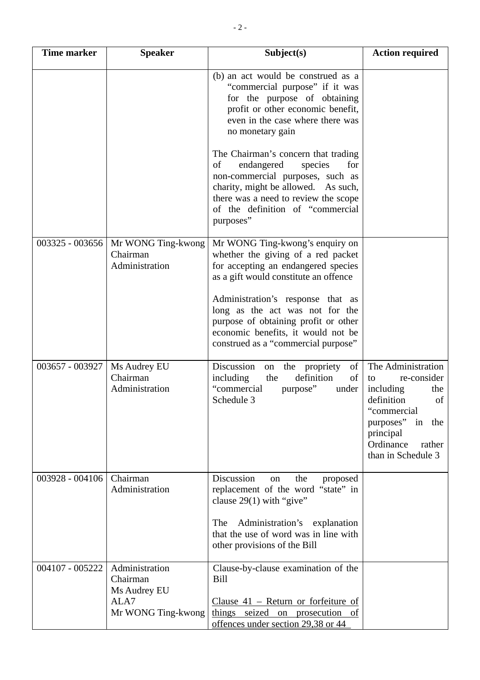| <b>Time marker</b> | <b>Speaker</b>                                     | Subject(s)                                                                                                                                                                                                                                    | <b>Action required</b>                                                                                                                                                             |
|--------------------|----------------------------------------------------|-----------------------------------------------------------------------------------------------------------------------------------------------------------------------------------------------------------------------------------------------|------------------------------------------------------------------------------------------------------------------------------------------------------------------------------------|
|                    |                                                    | (b) an act would be construed as a<br>"commercial purpose" if it was<br>for the purpose of obtaining<br>profit or other economic benefit,<br>even in the case where there was<br>no monetary gain                                             |                                                                                                                                                                                    |
|                    |                                                    | The Chairman's concern that trading<br>of<br>endangered<br>species<br>for<br>non-commercial purposes, such as<br>charity, might be allowed. As such,<br>there was a need to review the scope<br>of the definition of "commercial<br>purposes" |                                                                                                                                                                                    |
| 003325 - 003656    | Mr WONG Ting-kwong<br>Chairman<br>Administration   | Mr WONG Ting-kwong's enquiry on<br>whether the giving of a red packet<br>for accepting an endangered species<br>as a gift would constitute an offence                                                                                         |                                                                                                                                                                                    |
|                    |                                                    | Administration's response that as<br>long as the act was not for the<br>purpose of obtaining profit or other<br>economic benefits, it would not be<br>construed as a "commercial purpose"                                                     |                                                                                                                                                                                    |
| 003657 - 003927    | Ms Audrey EU<br>Chairman<br>Administration         | Discussion<br>of<br>the propriety<br>on<br>definition<br>of<br>including<br>the<br>"commercial<br>purpose"<br>under<br>Schedule 3                                                                                                             | The Administration<br>re-consider<br>to<br>including<br>the<br>definition<br>of<br>"commercial<br>purposes"<br>in<br>the<br>principal<br>Ordinance<br>rather<br>than in Schedule 3 |
| 003928 - 004106    | Chairman<br>Administration                         | Discussion<br>the<br>on<br>proposed<br>replacement of the word "state" in<br>clause $29(1)$ with "give"                                                                                                                                       |                                                                                                                                                                                    |
|                    |                                                    | Administration's explanation<br>The<br>that the use of word was in line with<br>other provisions of the Bill                                                                                                                                  |                                                                                                                                                                                    |
| 004107 - 005222    | Administration<br>Chairman<br>Ms Audrey EU<br>ALA7 | Clause-by-clause examination of the<br>Bill<br>Clause $41$ – Return or forfeiture of                                                                                                                                                          |                                                                                                                                                                                    |
|                    | Mr WONG Ting-kwong                                 | things seized on prosecution of<br>offences under section 29,38 or 44                                                                                                                                                                         |                                                                                                                                                                                    |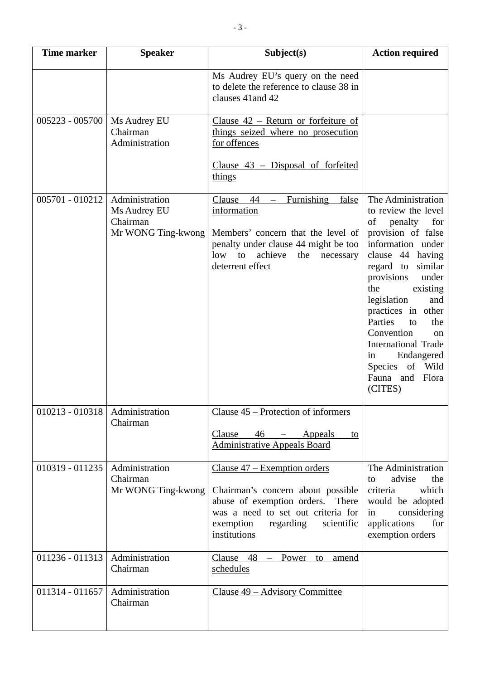| <b>Time marker</b> | <b>Speaker</b>                                                   | Subject(s)                                                                                                                                                                                               | <b>Action required</b>                                                                                                                                                                                                                                                                                                                                                                                      |
|--------------------|------------------------------------------------------------------|----------------------------------------------------------------------------------------------------------------------------------------------------------------------------------------------------------|-------------------------------------------------------------------------------------------------------------------------------------------------------------------------------------------------------------------------------------------------------------------------------------------------------------------------------------------------------------------------------------------------------------|
|                    |                                                                  | Ms Audrey EU's query on the need<br>to delete the reference to clause 38 in<br>clauses 41 and 42                                                                                                         |                                                                                                                                                                                                                                                                                                                                                                                                             |
| $005223 - 005700$  | Ms Audrey EU<br>Chairman<br>Administration                       | Clause $42$ – Return or forfeiture of<br>things seized where no prosecution<br>for offences<br>Clause $43$ – Disposal of forfeited<br>things                                                             |                                                                                                                                                                                                                                                                                                                                                                                                             |
| 005701 - 010212    | Administration<br>Ms Audrey EU<br>Chairman<br>Mr WONG Ting-kwong | Furnishing<br>false<br>Clause<br>44<br>$-$<br>information<br>Members' concern that the level of<br>penalty under clause 44 might be too<br>achieve<br>low to<br>the<br>necessary<br>deterrent effect     | The Administration<br>to review the level<br>of<br>penalty<br>for<br>provision of false<br>information under<br>clause 44 having<br>similar<br>regard to<br>provisions<br>under<br>the<br>existing<br>legislation<br>and<br>practices in other<br>Parties<br>to<br>the<br>Convention<br><sub>on</sub><br><b>International Trade</b><br>Endangered<br>in<br>Species of Wild<br>Fauna and<br>Flora<br>(CITES) |
| $010213 - 010318$  | Administration<br>Chairman                                       | Clause 45 – Protection of informers<br>Clause<br>$46$ – Appeals<br>to<br><b>Administrative Appeals Board</b>                                                                                             |                                                                                                                                                                                                                                                                                                                                                                                                             |
| 010319 - 011235    | Administration<br>Chairman<br>Mr WONG Ting-kwong                 | Clause $47$ – Exemption orders<br>Chairman's concern about possible<br>abuse of exemption orders.<br>There<br>was a need to set out criteria for<br>exemption<br>regarding<br>scientific<br>institutions | The Administration<br>advise<br>the<br>to<br>which<br>criteria<br>would be adopted<br>considering<br>in<br>applications<br>for<br>exemption orders                                                                                                                                                                                                                                                          |
| $011236 - 011313$  | Administration<br>Chairman                                       | $C$ lause 48<br>Power<br>to<br>amend<br>$\overline{\phantom{m}}$<br>schedules                                                                                                                            |                                                                                                                                                                                                                                                                                                                                                                                                             |
| 011314 - 011657    | Administration<br>Chairman                                       | <u> Clause 49 – Advisory Committee</u>                                                                                                                                                                   |                                                                                                                                                                                                                                                                                                                                                                                                             |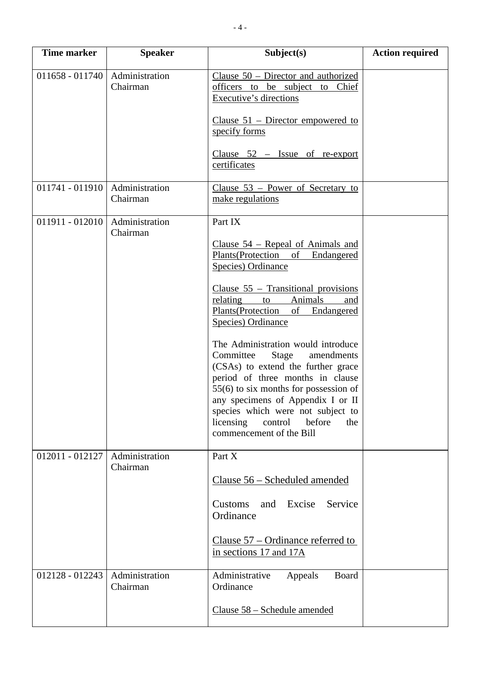| <b>Time marker</b> | <b>Speaker</b>             | Subject(s)                                                                                                                                                                                                                                                                                                                                                                                                                                                                                                                                                                                         | <b>Action required</b> |
|--------------------|----------------------------|----------------------------------------------------------------------------------------------------------------------------------------------------------------------------------------------------------------------------------------------------------------------------------------------------------------------------------------------------------------------------------------------------------------------------------------------------------------------------------------------------------------------------------------------------------------------------------------------------|------------------------|
| $011658 - 011740$  | Administration<br>Chairman | Clause $50$ – Director and authorized<br>officers to be subject to Chief<br>Executive's directions<br>Clause $51$ – Director empowered to                                                                                                                                                                                                                                                                                                                                                                                                                                                          |                        |
|                    |                            | specify forms<br>Clause $52$ – Issue of re-export<br>certificates                                                                                                                                                                                                                                                                                                                                                                                                                                                                                                                                  |                        |
| 011741 - 011910    | Administration<br>Chairman | Clause $53$ – Power of Secretary to<br>make regulations                                                                                                                                                                                                                                                                                                                                                                                                                                                                                                                                            |                        |
| $011911 - 012010$  | Administration<br>Chairman | Part IX<br>Clause $54$ – Repeal of Animals and<br>Plants (Protection of Endangered<br>Species) Ordinance<br>Clause $55$ – Transitional provisions<br>Animals<br>relating<br>to<br>and<br>Plants(Protection<br>Endangered<br>of<br>Species) Ordinance<br>The Administration would introduce<br>Committee<br>Stage<br>amendments<br>(CSAs) to extend the further grace<br>period of three months in clause<br>$55(6)$ to six months for possession of<br>any specimens of Appendix I or II<br>species which were not subject to<br>before<br>licensing<br>control<br>the<br>commencement of the Bill |                        |
| 012011 - 012127    | Administration<br>Chairman | Part X<br>Clause 56 - Scheduled amended<br>Excise<br>Service<br>and<br>Customs<br>Ordinance<br>Clause $57$ – Ordinance referred to<br>in sections 17 and 17A                                                                                                                                                                                                                                                                                                                                                                                                                                       |                        |
| 012128 - 012243    | Administration<br>Chairman | Administrative<br>Board<br>Appeals<br>Ordinance<br>Clause 58 – Schedule amended                                                                                                                                                                                                                                                                                                                                                                                                                                                                                                                    |                        |